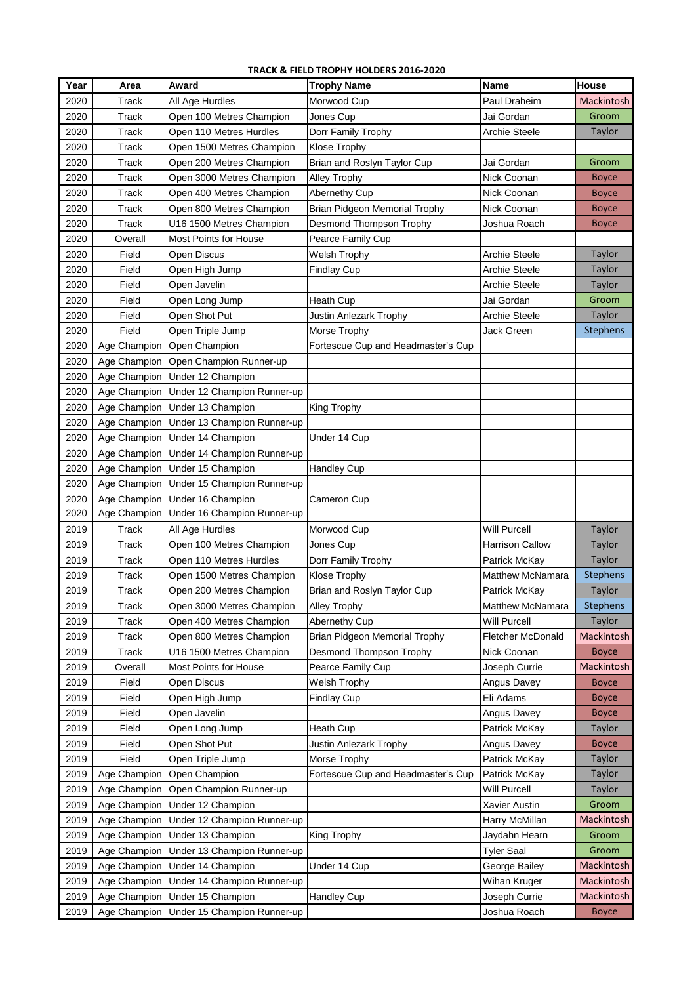## **TRACK & FIELD TROPHY HOLDERS 2016-2020**

| Year | Area         | Award                        | <b>Trophy Name</b>                 | Name                     | House           |
|------|--------------|------------------------------|------------------------------------|--------------------------|-----------------|
| 2020 | Track        | All Age Hurdles              | Morwood Cup                        | Paul Draheim             | Mackintosh      |
| 2020 | Track        | Open 100 Metres Champion     | Jones Cup                          | Jai Gordan               | Groom           |
| 2020 | Track        | Open 110 Metres Hurdles      | Dorr Family Trophy                 | <b>Archie Steele</b>     | Taylor          |
| 2020 | Track        | Open 1500 Metres Champion    | Klose Trophy                       |                          |                 |
| 2020 | Track        | Open 200 Metres Champion     | Brian and Roslyn Taylor Cup        | Jai Gordan               | Groom           |
| 2020 | Track        | Open 3000 Metres Champion    | <b>Alley Trophy</b>                | Nick Coonan              | <b>Boyce</b>    |
| 2020 | Track        | Open 400 Metres Champion     | Abernethy Cup                      | Nick Coonan              | <b>Boyce</b>    |
| 2020 | Track        | Open 800 Metres Champion     | Brian Pidgeon Memorial Trophy      | Nick Coonan              | <b>Boyce</b>    |
| 2020 | Track        | U16 1500 Metres Champion     | Desmond Thompson Trophy            | Joshua Roach             | <b>Boyce</b>    |
| 2020 | Overall      | Most Points for House        | Pearce Family Cup                  |                          |                 |
| 2020 | Field        | Open Discus                  | <b>Welsh Trophy</b>                | <b>Archie Steele</b>     | Taylor          |
| 2020 | Field        | Open High Jump               | <b>Findlay Cup</b>                 | <b>Archie Steele</b>     | Taylor          |
| 2020 | Field        | Open Javelin                 |                                    | <b>Archie Steele</b>     | <b>Taylor</b>   |
| 2020 | Field        | Open Long Jump               | Heath Cup                          | Jai Gordan               | Groom           |
| 2020 | Field        | Open Shot Put                | Justin Anlezark Trophy             | <b>Archie Steele</b>     | Taylor          |
| 2020 | Field        | Open Triple Jump             | Morse Trophy                       | Jack Green               | <b>Stephens</b> |
| 2020 | Age Champion | Open Champion                | Fortescue Cup and Headmaster's Cup |                          |                 |
| 2020 | Age Champion | Open Champion Runner-up      |                                    |                          |                 |
| 2020 | Age Champion | Under 12 Champion            |                                    |                          |                 |
| 2020 | Age Champion | Under 12 Champion Runner-up  |                                    |                          |                 |
| 2020 | Age Champion | Under 13 Champion            | King Trophy                        |                          |                 |
| 2020 | Age Champion | Under 13 Champion Runner-up  |                                    |                          |                 |
| 2020 | Age Champion | Under 14 Champion            | Under 14 Cup                       |                          |                 |
| 2020 | Age Champion | Under 14 Champion Runner-up  |                                    |                          |                 |
| 2020 | Age Champion | Under 15 Champion            | <b>Handley Cup</b>                 |                          |                 |
| 2020 | Age Champion | Under 15 Champion Runner-up  |                                    |                          |                 |
| 2020 | Age Champion | Under 16 Champion            | Cameron Cup                        |                          |                 |
| 2020 | Age Champion | Under 16 Champion Runner-up  |                                    |                          |                 |
| 2019 | Track        | All Age Hurdles              | Morwood Cup                        | Will Purcell             | Taylor          |
| 2019 | Track        | Open 100 Metres Champion     | Jones Cup                          | <b>Harrison Callow</b>   | Taylor          |
| 2019 | Track        | Open 110 Metres Hurdles      | Dorr Family Trophy                 | Patrick McKay            | Taylor          |
| 2019 | Track        | Open 1500 Metres Champion    | Klose Trophy                       | <b>Matthew McNamara</b>  | <b>Stephens</b> |
| 2019 | Track        | Open 200 Metres Champion     | Brian and Roslyn Taylor Cup        | Patrick McKay            | Taylor          |
| 2019 | Track        | Open 3000 Metres Champion    | <b>Alley Trophy</b>                | <b>Matthew McNamara</b>  | <b>Stephens</b> |
| 2019 | Track        | Open 400 Metres Champion     | Abernethy Cup                      | <b>Will Purcell</b>      | Taylor          |
| 2019 | Track        | Open 800 Metres Champion     | Brian Pidgeon Memorial Trophy      | <b>Fletcher McDonald</b> | Mackintosh      |
| 2019 | Track        | U16 1500 Metres Champion     | Desmond Thompson Trophy            | Nick Coonan              | <b>Boyce</b>    |
| 2019 | Overall      | <b>Most Points for House</b> | Pearce Family Cup                  | Joseph Currie            | Mackintosh      |
| 2019 | Field        | Open Discus                  | <b>Welsh Trophy</b>                | Angus Davey              | Boyce           |
| 2019 | Field        | Open High Jump               | <b>Findlay Cup</b>                 | Eli Adams                | <b>Boyce</b>    |
| 2019 | Field        | Open Javelin                 |                                    | Angus Davey              | <b>Boyce</b>    |
| 2019 | Field        | Open Long Jump               | Heath Cup                          | Patrick McKay            | Taylor          |
| 2019 | Field        | Open Shot Put                | Justin Anlezark Trophy             | Angus Davey              | <b>Boyce</b>    |
| 2019 | Field        | Open Triple Jump             | Morse Trophy                       | Patrick McKay            | Taylor          |
| 2019 | Age Champion | Open Champion                | Fortescue Cup and Headmaster's Cup | Patrick McKay            | Taylor          |
| 2019 | Age Champion | Open Champion Runner-up      |                                    | Will Purcell             | Taylor          |
| 2019 | Age Champion | Under 12 Champion            |                                    | Xavier Austin            | Groom           |
| 2019 | Age Champion | Under 12 Champion Runner-up  |                                    | Harry McMillan           | Mackintosh      |
| 2019 | Age Champion | Under 13 Champion            | King Trophy                        | Jaydahn Hearn            | Groom           |
| 2019 | Age Champion | Under 13 Champion Runner-up  |                                    | <b>Tyler Saal</b>        | Groom           |
| 2019 | Age Champion | Under 14 Champion            | Under 14 Cup                       | George Bailey            | Mackintosh      |
| 2019 | Age Champion | Under 14 Champion Runner-up  |                                    | Wihan Kruger             | Mackintosh      |
| 2019 | Age Champion | Under 15 Champion            | <b>Handley Cup</b>                 | Joseph Currie            | Mackintosh      |
| 2019 | Age Champion | Under 15 Champion Runner-up  |                                    | Joshua Roach             | <b>Boyce</b>    |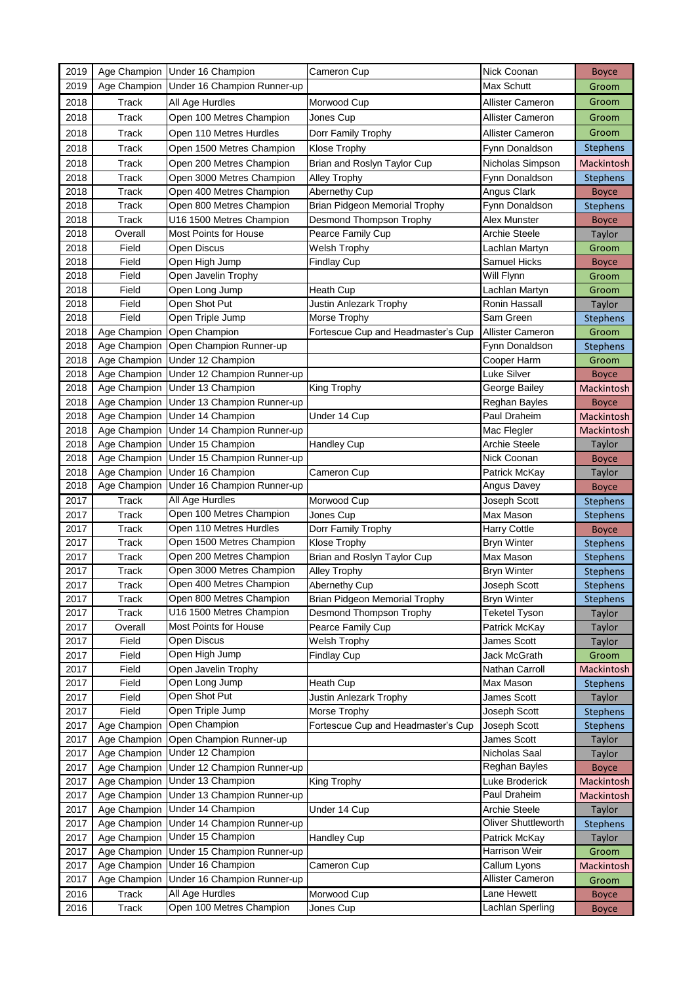| 2019         | Age Champion                 | Under 16 Champion                                | Cameron Cup                          | Nick Coonan                    | <b>Boyce</b>               |
|--------------|------------------------------|--------------------------------------------------|--------------------------------------|--------------------------------|----------------------------|
| 2019         | Age Champion                 | Under 16 Champion Runner-up                      |                                      | Max Schutt                     | Groom                      |
| 2018         | Track                        | All Age Hurdles                                  | Morwood Cup                          | Allister Cameron               | Groom                      |
| 2018         | Track                        | Open 100 Metres Champion                         | Jones Cup                            | <b>Allister Cameron</b>        | Groom                      |
| 2018         | Track                        | Open 110 Metres Hurdles                          | Dorr Family Trophy                   | <b>Allister Cameron</b>        | Groom                      |
| 2018         | Track                        | Open 1500 Metres Champion                        | Klose Trophy                         | Fynn Donaldson                 | <b>Stephens</b>            |
| 2018         | Track                        | Open 200 Metres Champion                         | Brian and Roslyn Taylor Cup          | Nicholas Simpson               | Mackintosh                 |
| 2018         | Track                        | Open 3000 Metres Champion                        | Alley Trophy                         | Fynn Donaldson                 | <b>Stephens</b>            |
| 2018         | Track                        | Open 400 Metres Champion                         | Abernethy Cup                        | Angus Clark                    | <b>Boyce</b>               |
| 2018         | Track                        | Open 800 Metres Champion                         | Brian Pidgeon Memorial Trophy        | Fynn Donaldson                 | <b>Stephens</b>            |
| 2018         | Track                        | U16 1500 Metres Champion                         | Desmond Thompson Trophy              | Alex Munster                   | Boyce                      |
| 2018         | Overall                      | Most Points for House                            | Pearce Family Cup                    | Archie Steele                  | Taylor                     |
| 2018         | Field                        | Open Discus                                      | Welsh Trophy                         | Lachlan Martyn                 | Groom                      |
| 2018         | Field                        | Open High Jump                                   | <b>Findlay Cup</b>                   | Samuel Hicks                   | Boyce                      |
| 2018         | Field                        | Open Javelin Trophy                              |                                      | Will Flynn                     | Groom                      |
| 2018         | Field                        | Open Long Jump                                   | <b>Heath Cup</b>                     | Lachlan Martyn                 | Groom                      |
| 2018         | Field                        | Open Shot Put                                    | Justin Anlezark Trophy               | Ronin Hassall                  | Taylor                     |
| 2018         | Field                        | Open Triple Jump                                 | Morse Trophy                         | Sam Green                      | <b>Stephens</b>            |
| 2018         | Age Champion                 | Open Champion                                    | Fortescue Cup and Headmaster's Cup   | Allister Cameron               | Groom                      |
| 2018         | Age Champion                 | Open Champion Runner-up                          |                                      | Fynn Donaldson                 | <b>Stephens</b>            |
| 2018         | Age Champion                 | Under 12 Champion                                |                                      | Cooper Harm                    | Groom                      |
| 2018         | Age Champion                 | Under 12 Champion Runner-up                      |                                      | Luke Silver                    | Boyce                      |
| 2018         | Age Champion                 | Under 13 Champion                                | King Trophy                          | George Bailey                  | <b>Mackintosh</b>          |
| 2018         | Age Champion                 | Under 13 Champion Runner-up                      |                                      | Reghan Bayles                  | <b>Boyce</b>               |
| 2018         | Age Champion                 | Under 14 Champion                                | Under 14 Cup                         | Paul Draheim                   | Mackintosh                 |
| 2018         | Age Champion                 | Under 14 Champion Runner-up                      |                                      | Mac Flegler                    | Mackintosh                 |
| 2018         | Age Champion                 | Under 15 Champion                                | Handley Cup                          | Archie Steele                  | Taylor                     |
| 2018         | Age Champion                 | Under 15 Champion Runner-up                      |                                      | Nick Coonan                    | Boyce                      |
| 2018         | Age Champion                 | Under 16 Champion                                | Cameron Cup                          | Patrick McKay                  | Taylor                     |
| 2018         | Age Champion                 | Under 16 Champion Runner-up                      |                                      | Angus Davey                    | <b>Boyce</b>               |
| 2017         | Track                        | All Age Hurdles                                  | Morwood Cup                          | Joseph Scott                   | <b>Stephens</b>            |
| 2017         | Track                        | Open 100 Metres Champion                         | Jones Cup                            | Max Mason                      | <b>Stephens</b>            |
| 2017         | Track                        | Open 110 Metres Hurdles                          | Dorr Family Trophy                   | <b>Harry Cottle</b>            | Boyce                      |
| 2017         | Track                        | Open 1500 Metres Champion                        | Klose Trophy                         | <b>Bryn Winter</b>             | <b>Stephens</b>            |
| 2017         | Track                        | Open 200 Metres Champion                         | Brian and Roslyn Taylor Cup          | Max Mason                      | <b>Stephens</b>            |
| 2017         | Track                        | Open 3000 Metres Champion                        | <b>Alley Trophy</b>                  | <b>Bryn Winter</b>             | <b>Stephens</b>            |
| 2017         |                              |                                                  |                                      |                                |                            |
| 2017         | Track                        | Open 400 Metres Champion                         | Abernethy Cup                        | Joseph Scott                   | <b>Stephens</b>            |
|              | <b>Track</b>                 | Open 800 Metres Champion                         | <b>Brian Pidgeon Memorial Trophy</b> | <b>Bryn Winter</b>             | <b>Stephens</b>            |
| 2017         | Track                        | U16 1500 Metres Champion                         | Desmond Thompson Trophy              | <b>Teketel Tyson</b>           | Taylor                     |
| 2017         | Overall                      | Most Points for House                            | Pearce Family Cup                    | Patrick McKay                  | Taylor                     |
| 2017         | Field                        | Open Discus                                      | Welsh Trophy                         | James Scott                    | Taylor                     |
| 2017         | Field                        | Open High Jump                                   | <b>Findlay Cup</b>                   | Jack McGrath                   | Groom                      |
| 2017         | Field                        | Open Javelin Trophy                              |                                      | Nathan Carroll                 | Mackintosh                 |
| 2017         | Field                        | Open Long Jump                                   | Heath Cup                            | Max Mason                      | <b>Stephens</b>            |
| 2017         | Field                        | Open Shot Put                                    | Justin Anlezark Trophy               | James Scott                    | Taylor                     |
| 2017         | Field                        | Open Triple Jump<br>Open Champion                | Morse Trophy                         | Joseph Scott                   | <b>Stephens</b>            |
| 2017         | Age Champion                 |                                                  | Fortescue Cup and Headmaster's Cup   | Joseph Scott                   | <b>Stephens</b>            |
| 2017         | Age Champion                 | Open Champion Runner-up                          |                                      | James Scott                    | <b>Taylor</b>              |
| 2017<br>2017 | Age Champion                 | Under 12 Champion                                |                                      | Nicholas Saal<br>Reghan Bayles | Taylor                     |
| 2017         | Age Champion                 | Under 12 Champion Runner-up<br>Under 13 Champion |                                      | Luke Broderick                 | <b>Boyce</b><br>Mackintosh |
| 2017         | Age Champion<br>Age Champion | Under 13 Champion Runner-up                      | King Trophy                          | Paul Draheim                   | Mackintosh                 |
| 2017         | Age Champion                 | Under 14 Champion                                | Under 14 Cup                         | <b>Archie Steele</b>           |                            |
| 2017         | Age Champion                 | Under 14 Champion Runner-up                      |                                      | Oliver Shuttleworth            | Taylor<br><b>Stephens</b>  |
| 2017         | Age Champion                 | Under 15 Champion                                | <b>Handley Cup</b>                   | Patrick McKay                  | <b>Taylor</b>              |
| 2017         | Age Champion                 | Under 15 Champion Runner-up                      |                                      | Harrison Weir                  | Groom                      |
| 2017         | Age Champion                 | Under 16 Champion                                | Cameron Cup                          | Callum Lyons                   | Mackintosh                 |
| 2017         | Age Champion                 | Under 16 Champion Runner-up                      |                                      | Allister Cameron               | Groom                      |
| 2016         | Track                        | All Age Hurdles                                  | Morwood Cup                          | Lane Hewett                    | <b>Boyce</b>               |